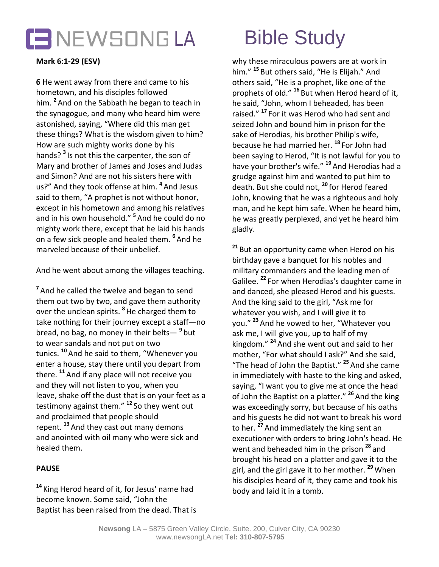

# **Mark 6:1-29 (ESV)**

**6** He went away from there and came to his hometown, and his disciples followed him. **<sup>2</sup>** And on the Sabbath he began to teach in the synagogue, and many who heard him were astonished, saying, "Where did this man get these things? What is the wisdom given to him? How are such mighty works done by his hands? **<sup>3</sup>** Is not this the carpenter, the son of Mary and brother of James and Joses and Judas and Simon? And are not his sisters here with us?" And they took offense at him. **<sup>4</sup>** And Jesus said to them, "A prophet is not without honor, except in his hometown and among his relatives and in his own household." **<sup>5</sup>** And he could do no mighty work there, except that he laid his hands on a few sick people and healed them. **<sup>6</sup>** And he marveled because of their unbelief.

And he went about among the villages teaching.

<sup>7</sup> And he called the twelve and began to send them out two by two, and gave them authority over the unclean spirits. **<sup>8</sup>**He charged them to take nothing for their journey except a staff—no bread, no bag, no money in their belts— **<sup>9</sup>** but to wear sandals and not put on two tunics. **<sup>10</sup>** And he said to them, "Whenever you enter a house, stay there until you depart from there. **<sup>11</sup>** And if any place will not receive you and they will not listen to you, when you leave, shake off the dust that is on your feet as a testimony against them." **<sup>12</sup>** So they went out and proclaimed that people should repent. **<sup>13</sup>** And they cast out many demons and anointed with oil many who were sick and healed them.

## **PAUSE**

**<sup>14</sup>** King Herod heard of it, for Jesus' name had become known. Some said, "John the Baptist has been raised from the dead. That is

why these miraculous powers are at work in him." **<sup>15</sup>** But others said, "He is Elijah." And others said, "He is a prophet, like one of the prophets of old." **<sup>16</sup>** But when Herod heard of it, he said, "John, whom I beheaded, has been raised." **<sup>17</sup>** For it was Herod who had sent and seized John and bound him in prison for the sake of Herodias, his brother Philip's wife, because he had married her. **<sup>18</sup>** For John had been saying to Herod, "It is not lawful for you to have your brother's wife." **<sup>19</sup>** And Herodias had a grudge against him and wanted to put him to death. But she could not, **<sup>20</sup>** for Herod feared John, knowing that he was a righteous and holy man, and he kept him safe. When he heard him, he was greatly perplexed, and yet he heard him gladly.

**<sup>21</sup>** But an opportunity came when Herod on his birthday gave a banquet for his nobles and military commanders and the leading men of Galilee. **<sup>22</sup>** For when Herodias's daughter came in and danced, she pleased Herod and his guests. And the king said to the girl, "Ask me for whatever you wish, and I will give it to you." **<sup>23</sup>** And he vowed to her, "Whatever you ask me, I will give you, up to half of my kingdom." **<sup>24</sup>** And she went out and said to her mother, "For what should I ask?" And she said, "The head of John the Baptist." **<sup>25</sup>** And she came in immediately with haste to the king and asked, saying, "I want you to give me at once the head of John the Baptist on a platter." **<sup>26</sup>** And the king was exceedingly sorry, but because of his oaths and his guests he did not want to break his word to her. **<sup>27</sup>** And immediately the king sent an executioner with orders to bring John's head. He went and beheaded him in the prison **<sup>28</sup>** and brought his head on a platter and gave it to the girl, and the girl gave it to her mother. **<sup>29</sup>**When his disciples heard of it, they came and took his body and laid it in a tomb.